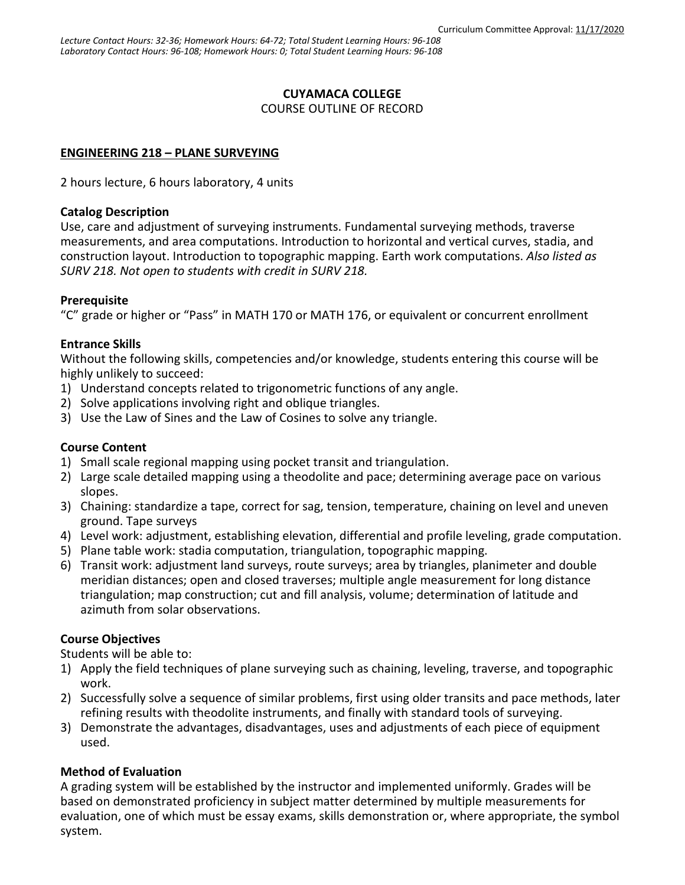### **CUYAMACA COLLEGE**

COURSE OUTLINE OF RECORD

### **ENGINEERING 218 – PLANE SURVEYING**

2 hours lecture, 6 hours laboratory, 4 units

#### **Catalog Description**

Use, care and adjustment of surveying instruments. Fundamental surveying methods, traverse measurements, and area computations. Introduction to horizontal and vertical curves, stadia, and construction layout. Introduction to topographic mapping. Earth work computations. *Also listed as SURV 218. Not open to students with credit in SURV 218.*

### **Prerequisite**

"C" grade or higher or "Pass" in MATH 170 or MATH 176, or equivalent or concurrent enrollment

### **Entrance Skills**

Without the following skills, competencies and/or knowledge, students entering this course will be highly unlikely to succeed:

- 1) Understand concepts related to trigonometric functions of any angle.
- 2) Solve applications involving right and oblique triangles.
- 3) Use the Law of Sines and the Law of Cosines to solve any triangle.

### **Course Content**

- 1) Small scale regional mapping using pocket transit and triangulation.
- 2) Large scale detailed mapping using a theodolite and pace; determining average pace on various slopes.
- 3) Chaining: standardize a tape, correct for sag, tension, temperature, chaining on level and uneven ground. Tape surveys
- 4) Level work: adjustment, establishing elevation, differential and profile leveling, grade computation.
- 5) Plane table work: stadia computation, triangulation, topographic mapping.
- 6) Transit work: adjustment land surveys, route surveys; area by triangles, planimeter and double meridian distances; open and closed traverses; multiple angle measurement for long distance triangulation; map construction; cut and fill analysis, volume; determination of latitude and azimuth from solar observations.

### **Course Objectives**

Students will be able to:

- 1) Apply the field techniques of plane surveying such as chaining, leveling, traverse, and topographic work.
- 2) Successfully solve a sequence of similar problems, first using older transits and pace methods, later refining results with theodolite instruments, and finally with standard tools of surveying.
- 3) Demonstrate the advantages, disadvantages, uses and adjustments of each piece of equipment used.

### **Method of Evaluation**

A grading system will be established by the instructor and implemented uniformly. Grades will be based on demonstrated proficiency in subject matter determined by multiple measurements for evaluation, one of which must be essay exams, skills demonstration or, where appropriate, the symbol system.